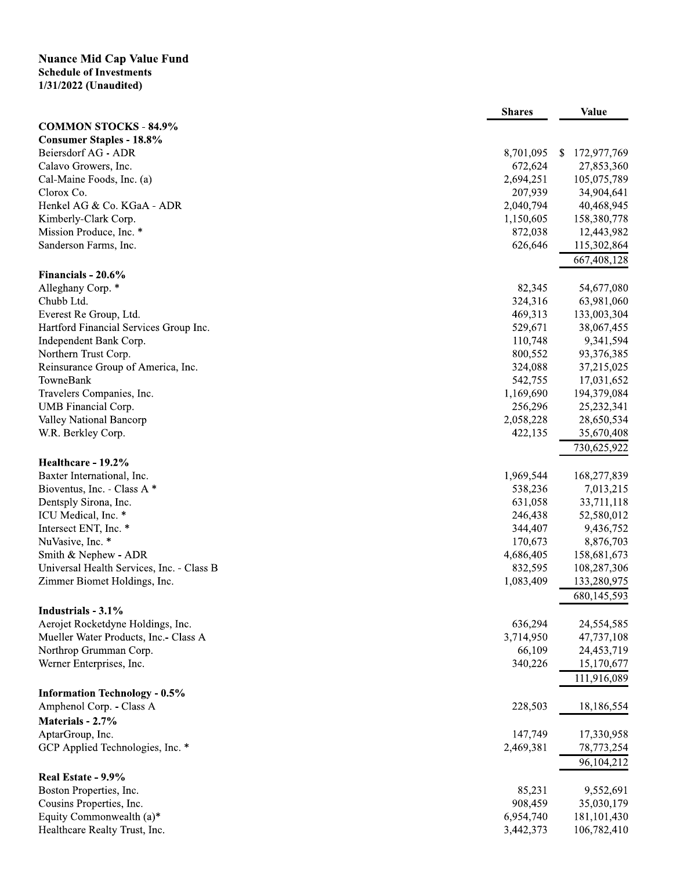## **Nuance Mid Cap Value Fund<br>Schedule of Investments<br>1/31/2022 (Unaudited)**

|                                           | <b>Shares</b> | <b>Value</b>                |
|-------------------------------------------|---------------|-----------------------------|
| <b>COMMON STOCKS - 84.9%</b>              |               |                             |
| <b>Consumer Staples - 18.8%</b>           |               |                             |
| Beiersdorf AG - ADR                       | 8,701,095     | 172,977,769<br><sup>S</sup> |
| Calavo Growers, Inc.                      | 672,624       | 27,853,360                  |
| Cal-Maine Foods, Inc. (a)                 | 2,694,251     | 105,075,789                 |
| Clorox Co.                                | 207,939       | 34,904,641                  |
| Henkel AG & Co. KGaA - ADR                | 2,040,794     | 40,468,945                  |
| Kimberly-Clark Corp.                      | 1,150,605     | 158,380,778                 |
| Mission Produce, Inc. *                   | 872,038       | 12,443,982                  |
| Sanderson Farms, Inc.                     | 626,646       | 115,302,864                 |
|                                           |               | 667,408,128                 |
| Financials - 20.6%                        |               |                             |
| Alleghany Corp. *                         | 82,345        | 54,677,080                  |
| Chubb Ltd.                                | 324,316       | 63,981,060                  |
| Everest Re Group, Ltd.                    | 469,313       | 133,003,304                 |
| Hartford Financial Services Group Inc.    | 529,671       | 38,067,455                  |
| Independent Bank Corp.                    | 110,748       | 9,341,594                   |
| Northern Trust Corp.                      | 800,552       | 93,376,385                  |
| Reinsurance Group of America, Inc.        | 324,088       | 37,215,025                  |
| TowneBank                                 | 542,755       | 17,031,652                  |
| Travelers Companies, Inc.                 | 1,169,690     | 194,379,084                 |
| UMB Financial Corp.                       | 256,296       | 25,232,341                  |
| Valley National Bancorp                   | 2,058,228     | 28,650,534                  |
| W.R. Berkley Corp.                        | 422,135       | 35,670,408                  |
|                                           |               | 730,625,922                 |
| Healthcare - 19.2%                        |               |                             |
| Baxter International, Inc.                | 1,969,544     | 168,277,839                 |
| Bioventus, Inc. - Class A *               | 538,236       | 7,013,215                   |
| Dentsply Sirona, Inc.                     | 631,058       | 33,711,118                  |
| ICU Medical, Inc. *                       | 246,438       | 52,580,012                  |
| Intersect ENT, Inc. *                     | 344,407       | 9,436,752                   |
| NuVasive, Inc. *                          | 170,673       | 8,876,703                   |
| Smith & Nephew - ADR                      | 4,686,405     | 158,681,673                 |
| Universal Health Services, Inc. - Class B | 832,595       | 108,287,306                 |
| Zimmer Biomet Holdings, Inc.              | 1,083,409     | 133,280,975                 |
|                                           |               | 680,145,593                 |
| Industrials - 3.1%                        |               |                             |
| Aerojet Rocketdyne Holdings, Inc.         | 636,294       | 24,554,585                  |
| Mueller Water Products, Inc.- Class A     | 3,714,950     | 47,737,108                  |
| Northrop Grumman Corp.                    | 66,109        | 24,453,719                  |
| Werner Enterprises, Inc.                  | 340,226       | 15,170,677                  |
|                                           |               | 111,916,089                 |
|                                           |               |                             |
| <b>Information Technology - 0.5%</b>      |               |                             |
| Amphenol Corp. - Class A                  | 228,503       | 18,186,554                  |
| Materials - 2.7%                          |               |                             |
| AptarGroup, Inc.                          | 147,749       | 17,330,958                  |
| GCP Applied Technologies, Inc. *          | 2,469,381     | 78,773,254                  |
|                                           |               | 96,104,212                  |
| Real Estate - 9.9%                        |               |                             |
| Boston Properties, Inc.                   | 85,231        | 9,552,691                   |
| Cousins Properties, Inc.                  | 908,459       | 35,030,179                  |
| Equity Commonwealth (a)*                  | 6,954,740     | 181, 101, 430               |
| Healthcare Realty Trust, Inc.             | 3,442,373     | 106,782,410                 |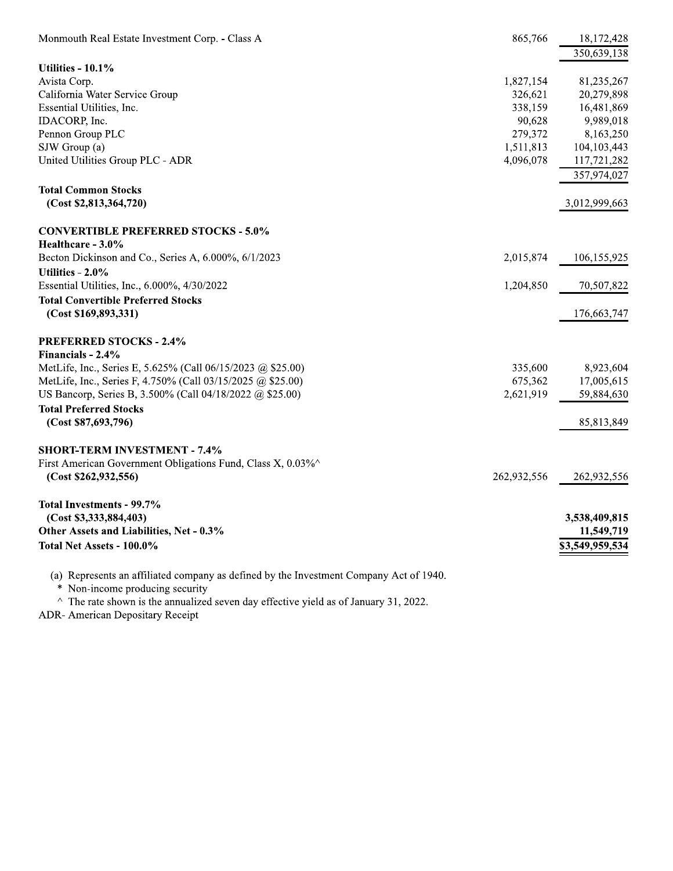| Monmouth Real Estate Investment Corp. - Class A             | 865,766     | 18,172,428<br>350,639,138 |
|-------------------------------------------------------------|-------------|---------------------------|
| Utilities - 10.1%                                           |             |                           |
| Avista Corp.                                                | 1,827,154   | 81,235,267                |
| California Water Service Group                              | 326,621     | 20,279,898                |
| Essential Utilities, Inc.                                   | 338,159     | 16,481,869                |
| IDACORP, Inc.                                               | 90,628      | 9,989,018                 |
| Pennon Group PLC                                            | 279,372     | 8,163,250                 |
| SJW Group (a)                                               | 1,511,813   | 104, 103, 443             |
| United Utilities Group PLC - ADR                            | 4,096,078   | 117,721,282               |
|                                                             |             | 357,974,027               |
| <b>Total Common Stocks</b>                                  |             |                           |
|                                                             |             |                           |
| (Cost \$2,813,364,720)                                      |             | 3,012,999,663             |
| <b>CONVERTIBLE PREFERRED STOCKS - 5.0%</b>                  |             |                           |
| Healthcare - 3.0%                                           |             |                           |
| Becton Dickinson and Co., Series A, 6.000%, 6/1/2023        | 2,015,874   | 106,155,925               |
| Utilities - 2.0%                                            |             |                           |
| Essential Utilities, Inc., 6.000%, 4/30/2022                | 1,204,850   | 70,507,822                |
| <b>Total Convertible Preferred Stocks</b>                   |             |                           |
| (Cost \$169,893,331)                                        |             | 176, 663, 747             |
| <b>PREFERRED STOCKS - 2.4%</b>                              |             |                           |
| Financials - 2.4%                                           |             |                           |
| MetLife, Inc., Series E, 5.625% (Call 06/15/2023 @ \$25.00) | 335,600     | 8,923,604                 |
| MetLife, Inc., Series F, 4.750% (Call 03/15/2025 @ \$25.00) | 675,362     | 17,005,615                |
| US Bancorp, Series B, 3.500% (Call 04/18/2022 @ \$25.00)    | 2,621,919   | 59,884,630                |
| <b>Total Preferred Stocks</b>                               |             |                           |
| (Cost \$87,693,796)                                         |             | 85,813,849                |
|                                                             |             |                           |
| <b>SHORT-TERM INVESTMENT - 7.4%</b>                         |             |                           |
| First American Government Obligations Fund, Class X, 0.03%  |             |                           |
| (Cost \$262,932,556)                                        | 262,932,556 | 262,932,556               |
| <b>Total Investments - 99.7%</b>                            |             |                           |
| (Cost \$3,333,884,403)                                      |             | 3,538,409,815             |
| Other Assets and Liabilities, Net - 0.3%                    |             | 11,549,719                |
| Total Net Assets - 100.0%                                   |             | \$3,549,959,534           |
|                                                             |             |                           |
|                                                             |             |                           |

(a) Represents an affiliated company as defined by the Investment Company Act of 1940.<br>\* Non-income producing security<br> $\land$  The rate shown is the annualized seven day effective yield as of January 31, 2022.

ADR- American Depositary Receipt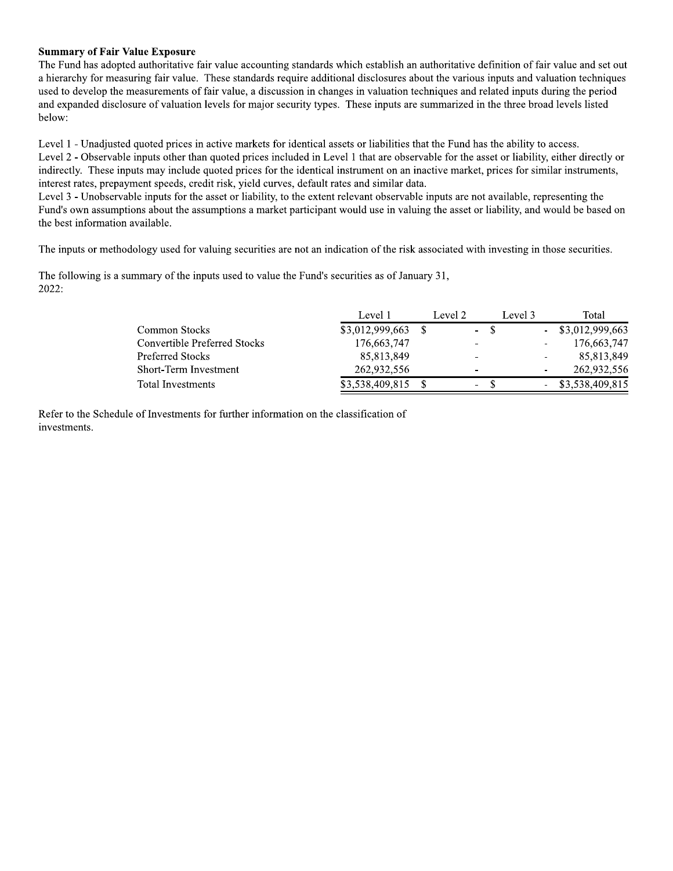## **Summary of Fair Value Exposure**

The Fund has adopted authoritative fair value accounting standards which establish an authoritative definition of fair value and set out a hierarchy for measuring fair value. These standards require additional disclosures about the various inputs and valuation techniques used to develop the measurements of fair value, a discussion in changes in valuation techniques and related inputs during the period and expanded disclosure of valuation levels for major security types. These inputs are summarized in the three broad levels listed below:

Level 1 - Unadjusted quoted prices in active markets for identical assets or liabilities that the Fund has the ability to access. Level 2 - Observable inputs other than quoted prices included in Level 1 that are observable for the asset or liability, either directly or indirectly. These inputs may include quoted prices for the identical instrument on an inactive market, prices for similar instruments, interest rates, prepayment speeds, credit risk, yield curves, default rates and similar data.

Level 3 - Unobservable inputs for the asset or liability, to the extent relevant observable inputs are not available, representing the Fund's own assumptions about the assumptions a market participant would use in valuing the asset or liability, and would be based on the best information available.

The inputs or methodology used for valuing securities are not an indication of the risk associated with investing in those securities.

The following is a summary of the inputs used to value the Fund's securities as of January 31, 2022:

|                              | Level 1         | Level 2                  | Level 3 | Total               |
|------------------------------|-----------------|--------------------------|---------|---------------------|
| Common Stocks                | \$3,012,999,663 | - S<br>$\sim$            |         | $-$ \$3,012,999,663 |
| Convertible Preferred Stocks | 176,663,747     | ٠                        |         | 176,663,747         |
| Preferred Stocks             | 85,813,849      | -                        | ٠       | 85,813,849          |
| Short-Term Investment        | 262,932,556     | -                        |         | 262,932,556         |
| Total Investments            | \$3,538,409,815 | $\overline{\phantom{a}}$ |         | \$3,538,409,815     |

Refer to the Schedule of Investments for further information on the classification of investments.